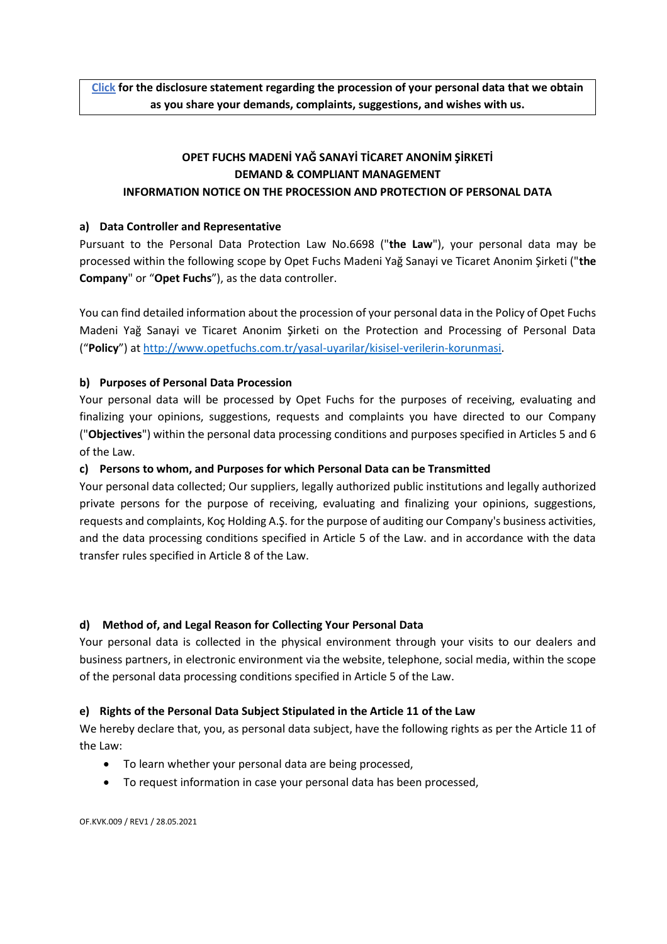# **OPET FUCHS MADENİ YAĞ SANAYİ TİCARET ANONİM ŞİRKETİ DEMAND & COMPLIANT MANAGEMENT INFORMATION NOTICE ON THE PROCESSION AND PROTECTION OF PERSONAL DATA**

## **a) Data Controller and Representative**

Pursuant to the Personal Data Protection Law No.6698 ("**the Law**"), your personal data may be processed within the following scope by Opet Fuchs Madeni Yağ Sanayi ve Ticaret Anonim Şirketi ("**the Company**" or "**Opet Fuchs**"), as the data controller.

You can find detailed information about the procession of your personal data in the Policy of Opet Fuchs Madeni Yağ Sanayi ve Ticaret Anonim Şirketi on the Protection and Processing of Personal Data ("**Policy**") at [http://www.opetfuchs.com.tr/yasal-uyarilar/kisisel-verilerin-korunmasi.](http://www.opetfuchs.com.tr/yasal-uyarilar/kisisel-verilerin-korunmasi)

## **b) Purposes of Personal Data Procession**

Your personal data will be processed by Opet Fuchs for the purposes of receiving, evaluating and finalizing your opinions, suggestions, requests and complaints you have directed to our Company ("**Objectives**") within the personal data processing conditions and purposes specified in Articles 5 and 6 of the Law.

## **c) Persons to whom, and Purposes for which Personal Data can be Transmitted**

Your personal data collected; Our suppliers, legally authorized public institutions and legally authorized private persons for the purpose of receiving, evaluating and finalizing your opinions, suggestions, requests and complaints, Koç Holding A.Ş. for the purpose of auditing our Company's business activities, and the data processing conditions specified in Article 5 of the Law. and in accordance with the data transfer rules specified in Article 8 of the Law.

## **d) Method of, and Legal Reason for Collecting Your Personal Data**

Your personal data is collected in the physical environment through your visits to our dealers and business partners, in electronic environment via the website, telephone, social media, within the scope of the personal data processing conditions specified in Article 5 of the Law.

## **e) Rights of the Personal Data Subject Stipulated in the Article 11 of the Law**

We hereby declare that, you, as personal data subject, have the following rights as per the Article 11 of the Law:

- To learn whether your personal data are being processed,
- To request information in case your personal data has been processed,

OF.KVK.009 / REV1 / 28.05.2021